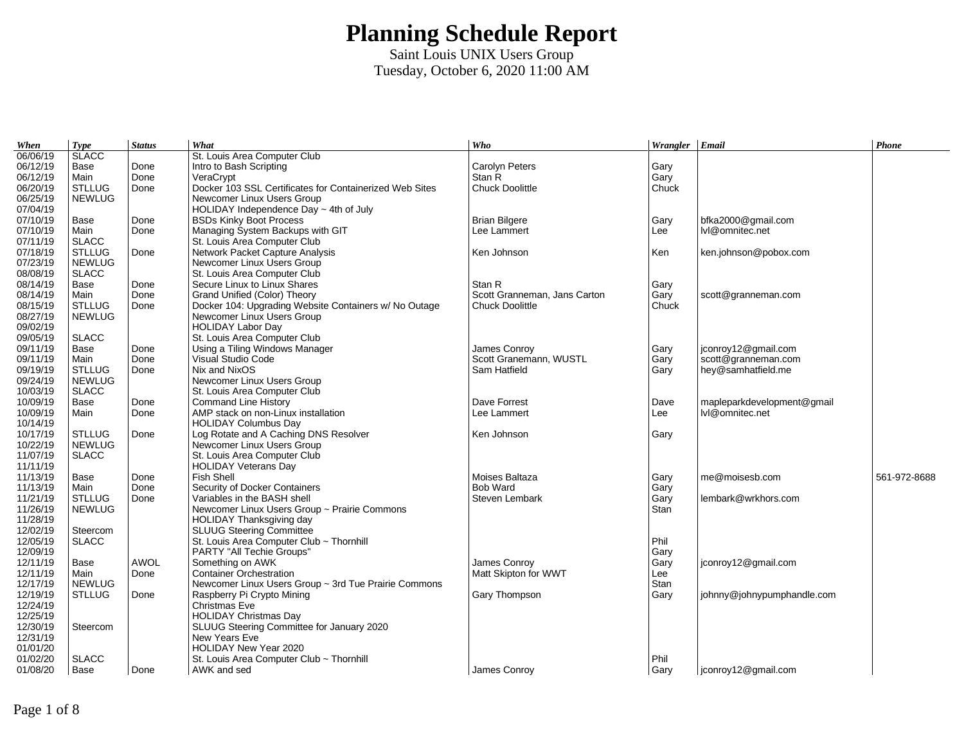| When     | <b>Type</b>   | <b>Status</b> | What                                                    | Who                          | Wrangler $ $ Email |                            | Phone        |
|----------|---------------|---------------|---------------------------------------------------------|------------------------------|--------------------|----------------------------|--------------|
| 06/06/19 | <b>SLACC</b>  |               | St. Louis Area Computer Club                            |                              |                    |                            |              |
| 06/12/19 | Base          | Done          | Intro to Bash Scripting                                 | Carolyn Peters               | Gary               |                            |              |
| 06/12/19 | Main          | Done          | VeraCrypt                                               | Stan R                       | Gary               |                            |              |
| 06/20/19 | <b>STLLUG</b> | Done          | Docker 103 SSL Certificates for Containerized Web Sites | Chuck Doolittle              | Chuck              |                            |              |
| 06/25/19 | <b>NEWLUG</b> |               | Newcomer Linux Users Group                              |                              |                    |                            |              |
| 07/04/19 |               |               | HOLIDAY Independence Day $\sim$ 4th of July             |                              |                    |                            |              |
| 07/10/19 | Base          | Done          | <b>BSDs Kinky Boot Process</b>                          | <b>Brian Bilgere</b>         | Gary               | bfka2000@gmail.com         |              |
| 07/10/19 | Main          | Done          | Managing System Backups with GIT                        | Lee Lammert                  | Lee                | lvl@omnitec.net            |              |
| 07/11/19 | <b>SLACC</b>  |               | St. Louis Area Computer Club                            |                              |                    |                            |              |
| 07/18/19 | <b>STLLUG</b> | Done          | Network Packet Capture Analysis                         | Ken Johnson                  | Ken                | ken.johnson@pobox.com      |              |
| 07/23/19 | <b>NEWLUG</b> |               | Newcomer Linux Users Group                              |                              |                    |                            |              |
| 08/08/19 | <b>SLACC</b>  |               | St. Louis Area Computer Club                            |                              |                    |                            |              |
| 08/14/19 | Base          | Done          | Secure Linux to Linux Shares                            | Stan R                       | Gary               |                            |              |
| 08/14/19 | Main          | Done          | Grand Unified (Color) Theory                            | Scott Granneman, Jans Carton | Gary               | scott@granneman.com        |              |
| 08/15/19 | <b>STLLUG</b> | Done          | Docker 104: Upgrading Website Containers w/ No Outage   | Chuck Doolittle              | Chuck              |                            |              |
| 08/27/19 | <b>NEWLUG</b> |               | Newcomer Linux Users Group                              |                              |                    |                            |              |
| 09/02/19 |               |               | <b>HOLIDAY Labor Day</b>                                |                              |                    |                            |              |
| 09/05/19 | <b>SLACC</b>  |               | St. Louis Area Computer Club                            |                              |                    |                            |              |
| 09/11/19 | Base          | Done          | Using a Tiling Windows Manager                          | James Conroy                 | Gary               | jconroy12@gmail.com        |              |
| 09/11/19 | Main          | Done          | Visual Studio Code                                      | Scott Granemann, WUSTL       | Gary               | scott@granneman.com        |              |
| 09/19/19 | <b>STLLUG</b> | Done          | Nix and NixOS                                           | Sam Hatfield                 | Gary               | hey@samhatfield.me         |              |
| 09/24/19 | <b>NEWLUG</b> |               | Newcomer Linux Users Group                              |                              |                    |                            |              |
| 10/03/19 | <b>SLACC</b>  |               | St. Louis Area Computer Club                            |                              |                    |                            |              |
| 10/09/19 | Base          | Done          | <b>Command Line History</b>                             | Dave Forrest                 | Dave               | mapleparkdevelopment@gmail |              |
| 10/09/19 | Main          | Done          | AMP stack on non-Linux installation                     | Lee Lammert                  | Lee                | lvl@omnitec.net            |              |
| 10/14/19 |               |               | <b>HOLIDAY Columbus Day</b>                             |                              |                    |                            |              |
| 10/17/19 | <b>STLLUG</b> | Done          | Log Rotate and A Caching DNS Resolver                   | Ken Johnson                  | Gary               |                            |              |
| 10/22/19 | <b>NEWLUG</b> |               | Newcomer Linux Users Group                              |                              |                    |                            |              |
| 11/07/19 | <b>SLACC</b>  |               | St. Louis Area Computer Club                            |                              |                    |                            |              |
| 11/11/19 |               |               | <b>HOLIDAY Veterans Day</b>                             |                              |                    |                            |              |
| 11/13/19 | Base          | Done          | Fish Shell                                              | Moises Baltaza               | Gary               | me@moisesb.com             | 561-972-8688 |
| 11/13/19 | Main          | Done          | Security of Docker Containers                           | <b>Bob Ward</b>              | Gary               |                            |              |
| 11/21/19 | <b>STLLUG</b> | Done          | Variables in the BASH shell                             | Steven Lembark               | Gary               | lembark@wrkhors.com        |              |
| 11/26/19 | <b>NEWLUG</b> |               | Newcomer Linux Users Group ~ Prairie Commons            |                              | <b>Stan</b>        |                            |              |
| 11/28/19 |               |               | HOLIDAY Thanksgiving day                                |                              |                    |                            |              |
| 12/02/19 | Steercom      |               | <b>SLUUG Steering Committee</b>                         |                              |                    |                            |              |
| 12/05/19 | <b>SLACC</b>  |               | St. Louis Area Computer Club ~ Thornhill                |                              | Phil               |                            |              |
| 12/09/19 |               |               | PARTY "All Techie Groups"                               |                              | Gary               |                            |              |
| 12/11/19 | Base          | <b>AWOL</b>   | Something on AWK                                        | James Conroy                 | Gary               | jconroy12@gmail.com        |              |
| 12/11/19 | Main          | Done          | <b>Container Orchestration</b>                          | Matt Skipton for WWT         | Lee                |                            |              |
| 12/17/19 | <b>NEWLUG</b> |               | Newcomer Linux Users Group ~ 3rd Tue Prairie Commons    |                              | Stan               |                            |              |
| 12/19/19 | <b>STLLUG</b> | Done          | Raspberry Pi Crypto Mining                              | Gary Thompson                | Gary               | johnny@johnypumphandle.com |              |
| 12/24/19 |               |               | Christmas Eve                                           |                              |                    |                            |              |
| 12/25/19 |               |               | <b>HOLIDAY Christmas Day</b>                            |                              |                    |                            |              |
| 12/30/19 | Steercom      |               | SLUUG Steering Committee for January 2020               |                              |                    |                            |              |
| 12/31/19 |               |               | New Years Eve                                           |                              |                    |                            |              |
| 01/01/20 |               |               | HOLIDAY New Year 2020                                   |                              |                    |                            |              |
| 01/02/20 | <b>SLACC</b>  |               | St. Louis Area Computer Club ~ Thornhill                |                              | Phil               |                            |              |
| 01/08/20 | Base          | Done          | AWK and sed                                             | James Conroy                 | Gary               | jconroy12@gmail.com        |              |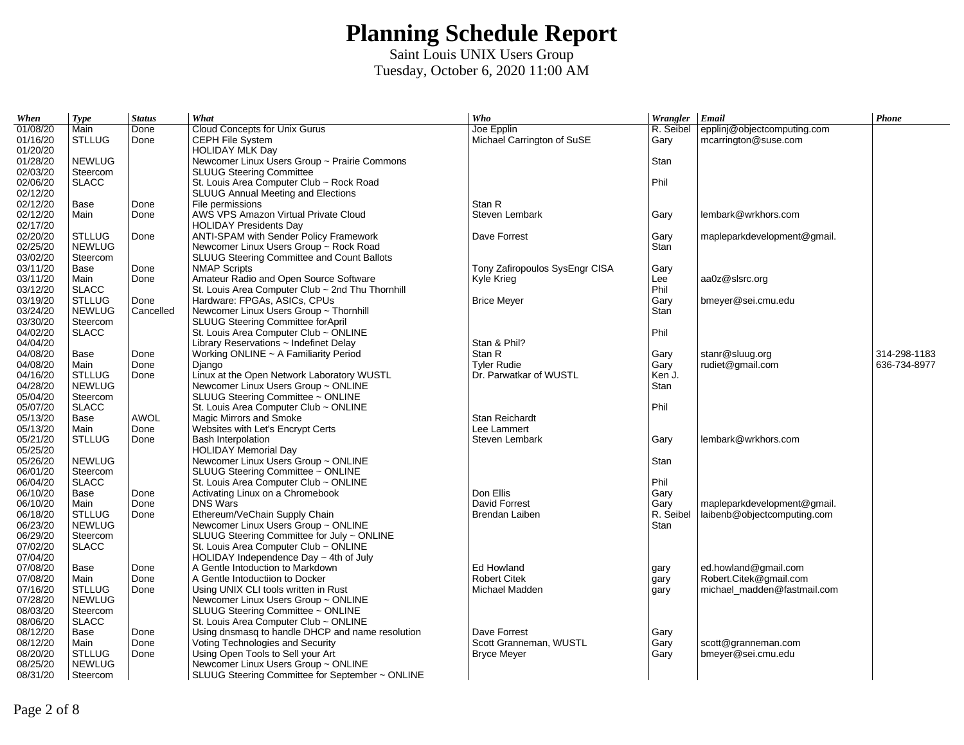| When                 | <b>Type</b>           | <b>Status</b> | What                                                | Who                            | Wrangler Email    |                             | $\boldsymbol{Phone}$ |
|----------------------|-----------------------|---------------|-----------------------------------------------------|--------------------------------|-------------------|-----------------------------|----------------------|
| 01/08/20             | Main                  | Done          | Cloud Concepts for Unix Gurus                       | Joe Epplin                     | R. Seibel         | epplinj@objectcomputing.com |                      |
| 01/16/20             | <b>STLLUG</b>         | Done          | CEPH File System                                    | Michael Carrington of SuSE     | Gary              | mcarrington@suse.com        |                      |
| 01/20/20             |                       |               | <b>HOLIDAY MLK Day</b>                              |                                |                   |                             |                      |
| 01/28/20             | <b>NEWLUG</b>         |               | Newcomer Linux Users Group ~ Prairie Commons        |                                | Stan              |                             |                      |
| 02/03/20             | Steercom              |               | <b>SLUUG Steering Committee</b>                     |                                |                   |                             |                      |
| 02/06/20             | <b>SLACC</b>          |               | St. Louis Area Computer Club ~ Rock Road            |                                | Phil              |                             |                      |
| 02/12/20             |                       |               | <b>SLUUG Annual Meeting and Elections</b>           |                                |                   |                             |                      |
| 02/12/20             | Base                  | Done          | File permissions                                    | Stan R                         |                   |                             |                      |
| 02/12/20             | Main                  | Done          | AWS VPS Amazon Virtual Private Cloud                | Steven Lembark                 | Gary              | lembark@wrkhors.com         |                      |
| 02/17/20             |                       |               | <b>HOLIDAY Presidents Day</b>                       |                                |                   |                             |                      |
| 02/20/20             | <b>STLLUG</b>         | Done          | ANTI-SPAM with Sender Policy Framework              | Dave Forrest                   | Gary              | mapleparkdevelopment@gmail. |                      |
| 02/25/20             | <b>NEWLUG</b>         |               | Newcomer Linux Users Group ~ Rock Road              |                                | Stan              |                             |                      |
| 03/02/20             | Steercom              |               | SLUUG Steering Committee and Count Ballots          |                                |                   |                             |                      |
| 03/11/20             | Base                  | Done          | <b>NMAP Scripts</b>                                 | Tony Zafiropoulos SysEngr CISA | Gary              |                             |                      |
| 03/11/20             | Main                  | Done          | Amateur Radio and Open Source Software              | Kyle Krieg                     | Lee               | aa0z@slsrc.org              |                      |
| 03/12/20             | <b>SLACC</b>          |               | St. Louis Area Computer Club ~ 2nd Thu Thornhill    |                                | Phil              |                             |                      |
| 03/19/20             | <b>STLLUG</b>         | Done          | Hardware: FPGAs, ASICs, CPUs                        | <b>Brice Meyer</b>             | Gary              | bmeyer@sei.cmu.edu          |                      |
| 03/24/20             | <b>NEWLUG</b>         | Cancelled     | Newcomer Linux Users Group ~ Thornhill              |                                | Stan              |                             |                      |
| 03/30/20             | Steercom              |               | SLUUG Steering Committee forApril                   |                                |                   |                             |                      |
| 04/02/20             | <b>SLACC</b>          |               | St. Louis Area Computer Club ~ ONLINE               |                                | Phil              |                             |                      |
| 04/04/20             |                       |               | Library Reservations $\sim$ Indefinet Delay         | Stan & Phil?                   |                   |                             |                      |
| 04/08/20             | Base                  | Done          | Working ONLINE ~ A Familiarity Period               | Stan R                         | Gary              | stanr@sluug.org             | 314-298-1183         |
| 04/08/20             | Main                  | Done          | Diango                                              | <b>Tyler Rudie</b>             | Gary              | rudiet@gmail.com            | 636-734-8977         |
| 04/16/20             | <b>STLLUG</b>         | Done          | Linux at the Open Network Laboratory WUSTL          | Dr. Parwatkar of WUSTL         | Ken J.            |                             |                      |
| 04/28/20             | <b>NEWLUG</b>         |               | Newcomer Linux Users Group ~ ONLINE                 |                                | Stan              |                             |                      |
| 05/04/20             | Steercom              |               | SLUUG Steering Committee ~ ONLINE                   |                                |                   |                             |                      |
| 05/07/20             | <b>SLACC</b>          |               | St. Louis Area Computer Club ~ ONLINE               |                                | Phil              |                             |                      |
| 05/13/20             | Base                  | <b>AWOL</b>   | Magic Mirrors and Smoke                             | Stan Reichardt                 |                   |                             |                      |
| 05/13/20             | Main                  | Done          | Websites with Let's Encrypt Certs                   | Lee Lammert                    |                   |                             |                      |
| 05/21/20             | <b>STLLUG</b>         | Done          | <b>Bash Interpolation</b>                           | Steven Lembark                 | Gary              | lembark@wrkhors.com         |                      |
| 05/25/20             |                       |               | <b>HOLIDAY Memorial Day</b>                         |                                |                   |                             |                      |
| 05/26/20             | <b>NEWLUG</b>         |               | Newcomer Linux Users Group ~ ONLINE                 |                                | Stan              |                             |                      |
| 06/01/20             | Steercom              |               | SLUUG Steering Committee ~ ONLINE                   |                                |                   |                             |                      |
| 06/04/20             | <b>SLACC</b>          |               | St. Louis Area Computer Club ~ ONLINE               |                                | Phil              |                             |                      |
|                      |                       |               |                                                     |                                |                   |                             |                      |
| 06/10/20<br>06/10/20 | Base                  | Done<br>Done  | Activating Linux on a Chromebook<br><b>DNS Wars</b> | Don Ellis<br>David Forrest     | Gary              |                             |                      |
| 06/18/20             | Main<br><b>STLLUG</b> |               |                                                     | Brendan Laiben                 | Gary<br>R. Seibel | mapleparkdevelopment@gmail. |                      |
|                      |                       | Done          | Ethereum/VeChain Supply Chain                       |                                | Stan              | laibenb@objectcomputing.com |                      |
| 06/23/20             | <b>NEWLUG</b>         |               | Newcomer Linux Users Group ~ ONLINE                 |                                |                   |                             |                      |
| 06/29/20             | Steercom              |               | SLUUG Steering Committee for July ~ ONLINE          |                                |                   |                             |                      |
| 07/02/20             | <b>SLACC</b>          |               | St. Louis Area Computer Club ~ ONLINE               |                                |                   |                             |                      |
| 07/04/20             |                       |               | HOLIDAY Independence Day $\sim$ 4th of July         |                                |                   |                             |                      |
| 07/08/20             | Base                  | Done          | A Gentle Intoduction to Markdown                    | Ed Howland                     | gary              | ed.howland@gmail.com        |                      |
| 07/08/20             | Main                  | Done          | A Gentle Intoductiion to Docker                     | <b>Robert Citek</b>            | gary              | Robert.Citek@gmail.com      |                      |
| 07/16/20             | <b>STLLUG</b>         | Done          | Using UNIX CLI tools written in Rust                | Michael Madden                 | gary              | michael madden@fastmail.com |                      |
| 07/28/20             | <b>NEWLUG</b>         |               | Newcomer Linux Users Group ~ ONLINE                 |                                |                   |                             |                      |
| 08/03/20             | Steercom              |               | SLUUG Steering Committee ~ ONLINE                   |                                |                   |                             |                      |
| 08/06/20             | <b>SLACC</b>          |               | St. Louis Area Computer Club ~ ONLINE               |                                |                   |                             |                      |
| 08/12/20             | Base                  | Done          | Using dnsmasg to handle DHCP and name resolution    | Dave Forrest                   | Gary              |                             |                      |
| 08/12/20             | Main                  | Done          | Voting Technologies and Security                    | Scott Granneman, WUSTL         | Gary              | scott@granneman.com         |                      |
| 08/20/20             | <b>STLLUG</b>         | Done          | Using Open Tools to Sell your Art                   | <b>Bryce Meyer</b>             | Gary              | bmeyer@sei.cmu.edu          |                      |
| 08/25/20             | <b>NEWLUG</b>         |               | Newcomer Linux Users Group ~ ONLINE                 |                                |                   |                             |                      |
| 08/31/20             | Steercom              |               | SLUUG Steering Committee for September ~ ONLINE     |                                |                   |                             |                      |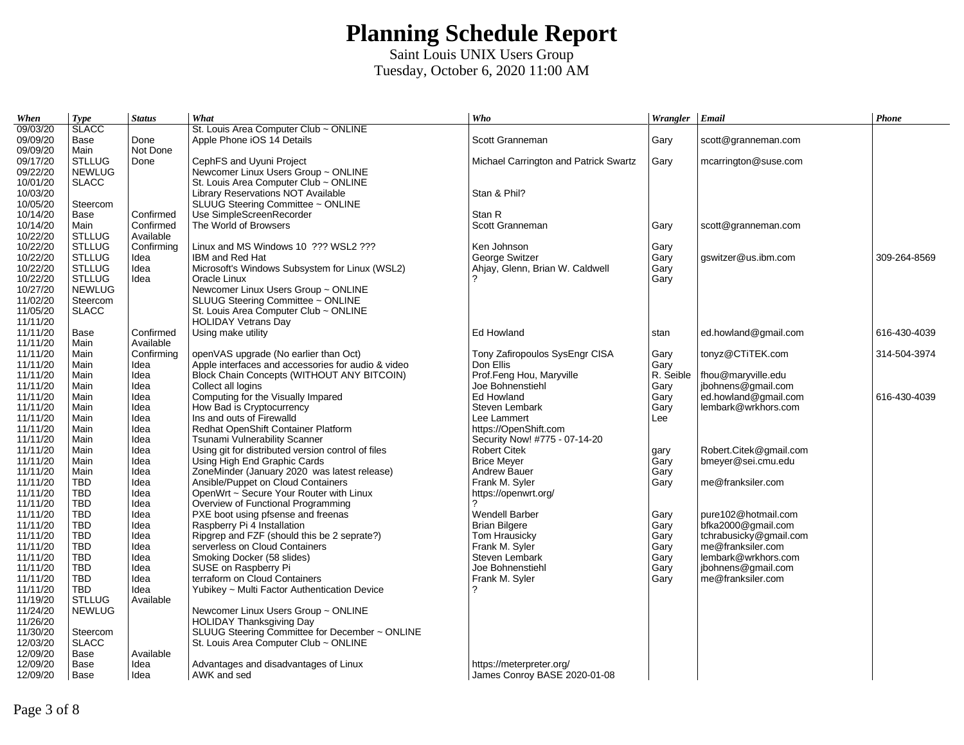| When     | <b>Type</b>   | <b>Status</b> | What                                               | Who                                   | Wrangler Email |                        | <b>Phone</b> |
|----------|---------------|---------------|----------------------------------------------------|---------------------------------------|----------------|------------------------|--------------|
| 09/03/20 | <b>SLACC</b>  |               | St. Louis Area Computer Club ~ ONLINE              |                                       |                |                        |              |
| 09/09/20 | Base          | Done          | Apple Phone iOS 14 Details                         | Scott Granneman                       | Gary           | scott@granneman.com    |              |
| 09/09/20 | Main          | Not Done      |                                                    |                                       |                |                        |              |
| 09/17/20 | <b>STLLUG</b> | Done          | CephFS and Uyuni Project                           | Michael Carrington and Patrick Swartz | Gary           | mcarrington@suse.com   |              |
| 09/22/20 | <b>NEWLUG</b> |               | Newcomer Linux Users Group ~ ONLINE                |                                       |                |                        |              |
| 10/01/20 | <b>SLACC</b>  |               | St. Louis Area Computer Club ~ ONLINE              |                                       |                |                        |              |
| 10/03/20 |               |               | Library Reservations NOT Available                 | Stan & Phil?                          |                |                        |              |
| 10/05/20 | Steercom      |               | SLUUG Steering Committee ~ ONLINE                  |                                       |                |                        |              |
| 10/14/20 | Base          | Confirmed     | Use SimpleScreenRecorder                           | Stan R                                |                |                        |              |
| 10/14/20 | Main          | Confirmed     | The World of Browsers                              | Scott Granneman                       | Gary           | scott@granneman.com    |              |
| 10/22/20 | <b>STLLUG</b> | Available     |                                                    |                                       |                |                        |              |
| 10/22/20 | <b>STLLUG</b> | Confirming    | Linux and MS Windows 10 ??? WSL2 ???               | Ken Johnson                           | Gary           |                        |              |
| 10/22/20 | <b>STLLUG</b> | Idea          | IBM and Red Hat                                    | George Switzer                        | Gary           | gswitzer@us.ibm.com    | 309-264-8569 |
| 10/22/20 | <b>STLLUG</b> | Idea          | Microsoft's Windows Subsystem for Linux (WSL2)     | Ahjay, Glenn, Brian W. Caldwell       | Gary           |                        |              |
| 10/22/20 | <b>STLLUG</b> | Idea          | Oracle Linux                                       |                                       | Gary           |                        |              |
| 10/27/20 | <b>NEWLUG</b> |               | Newcomer Linux Users Group ~ ONLINE                |                                       |                |                        |              |
| 11/02/20 | Steercom      |               | SLUUG Steering Committee ~ ONLINE                  |                                       |                |                        |              |
| 11/05/20 | <b>SLACC</b>  |               | St. Louis Area Computer Club ~ ONLINE              |                                       |                |                        |              |
| 11/11/20 |               |               | <b>HOLIDAY Vetrans Day</b>                         |                                       |                |                        |              |
| 11/11/20 | Base          | Confirmed     | Using make utility                                 | Ed Howland                            | stan           | ed.howland@gmail.com   | 616-430-4039 |
| 11/11/20 | Main          | Available     |                                                    |                                       |                |                        |              |
| 11/11/20 | Main          | Confirming    | openVAS upgrade (No earlier than Oct)              | Tony Zafiropoulos SysEngr CISA        | Gary           | tonyz@CTiTEK.com       | 314-504-3974 |
| 11/11/20 | Main          | Idea          | Apple interfaces and accessories for audio & video | Don Ellis                             | Gary           |                        |              |
| 11/11/20 | Main          | Idea          | Block Chain Concepts (WITHOUT ANY BITCOIN)         | Prof.Feng Hou, Maryville              | R. Seible      | fhou@maryville.edu     |              |
| 11/11/20 | Main          | Idea          | Collect all logins                                 | Joe Bohnenstiehl                      | Gary           | jbohnens@gmail.com     |              |
| 11/11/20 | Main          | Idea          | Computing for the Visually Impared                 | Ed Howland                            | Gary           | ed.howland@gmail.com   | 616-430-4039 |
| 11/11/20 | Main          | Idea          | How Bad is Cryptocurrency                          | Steven Lembark                        | Gary           | lembark@wrkhors.com    |              |
| 11/11/20 | Main          | Idea          | Ins and outs of Firewalld                          | Lee Lammert                           | Lee            |                        |              |
| 11/11/20 | Main          | Idea          | Redhat OpenShift Container Platform                | https://OpenShift.com                 |                |                        |              |
| 11/11/20 | Main          | Idea          | Tsunami Vulnerability Scanner                      | Security Now! #775 - 07-14-20         |                |                        |              |
| 11/11/20 | Main          | Idea          | Using git for distributed version control of files | <b>Robert Citek</b>                   | gary           | Robert.Citek@gmail.com |              |
| 11/11/20 | Main          | Idea          | Using High End Graphic Cards                       | <b>Brice Meyer</b>                    | Gary           | bmeyer@sei.cmu.edu     |              |
| 11/11/20 | Main          | Idea          | ZoneMinder (January 2020 was latest release)       | <b>Andrew Bauer</b>                   | Gary           |                        |              |
| 11/11/20 | TBD           | Idea          | Ansible/Puppet on Cloud Containers                 | Frank M. Syler                        | Gary           | me@franksiler.com      |              |
| 11/11/20 | <b>TBD</b>    | Idea          | OpenWrt ~ Secure Your Router with Linux            | https://openwrt.org/                  |                |                        |              |
| 11/11/20 | TBD           | Idea          | Overview of Functional Programming                 |                                       |                |                        |              |
| 11/11/20 | <b>TBD</b>    | Idea          | PXE boot using pfsense and freenas                 | <b>Wendell Barber</b>                 | Gary           | pure102@hotmail.com    |              |
| 11/11/20 | <b>TBD</b>    | Idea          | Raspberry Pi 4 Installation                        | <b>Brian Bilgere</b>                  | Gary           | bfka2000@gmail.com     |              |
| 11/11/20 | <b>TBD</b>    | Idea          | Ripgrep and FZF (should this be 2 seprate?)        | Tom Hrausicky                         | Gary           | tchrabusicky@gmail.com |              |
| 11/11/20 | <b>TBD</b>    | Idea          | serverless on Cloud Containers                     | Frank M. Syler                        | Gary           | me@franksiler.com      |              |
| 11/11/20 | <b>TBD</b>    | Idea          | Smoking Docker (58 slides)                         | Steven Lembark                        | Gary           | lembark@wrkhors.com    |              |
| 11/11/20 | <b>TBD</b>    | Idea          | SUSE on Raspberry Pi                               | Joe Bohnenstiehl                      | Gary           | jbohnens@gmail.com     |              |
| 11/11/20 | <b>TBD</b>    | Idea          | terraform on Cloud Containers                      | Frank M. Syler                        | Gary           | me@franksiler.com      |              |
| 11/11/20 | <b>TBD</b>    | Idea          | Yubikey ~ Multi Factor Authentication Device       |                                       |                |                        |              |
| 11/19/20 | <b>STLLUG</b> | Available     |                                                    |                                       |                |                        |              |
| 11/24/20 | <b>NEWLUG</b> |               | Newcomer Linux Users Group ~ ONLINE                |                                       |                |                        |              |
| 11/26/20 |               |               | HOLIDAY Thanksgiving Day                           |                                       |                |                        |              |
| 11/30/20 | Steercom      |               | SLUUG Steering Committee for December ~ ONLINE     |                                       |                |                        |              |
| 12/03/20 | <b>SLACC</b>  |               | St. Louis Area Computer Club ~ ONLINE              |                                       |                |                        |              |
| 12/09/20 | Base          | Available     |                                                    |                                       |                |                        |              |
| 12/09/20 | Base          | Idea          | Advantages and disadvantages of Linux              | https://meterpreter.org/              |                |                        |              |
| 12/09/20 | Base          | Idea          | AWK and sed                                        | James Conroy BASE 2020-01-08          |                |                        |              |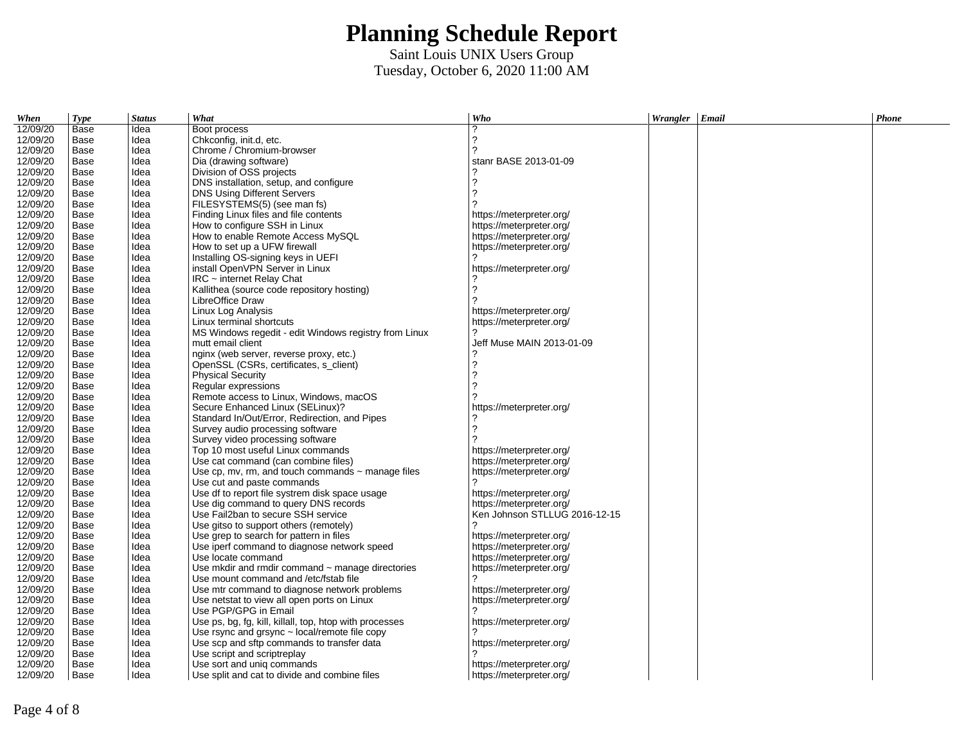| When     | <b>Type</b> | <b>Status</b> | What                                                    | Who                           | Wrangler Email | Phone |
|----------|-------------|---------------|---------------------------------------------------------|-------------------------------|----------------|-------|
| 12/09/20 | Base        | Idea          | Boot process                                            | っ                             |                |       |
| 12/09/20 | Base        | Idea          | Chkconfig, init.d, etc.                                 | 7                             |                |       |
| 12/09/20 | Base        | Idea          | Chrome / Chromium-browser                               | 2                             |                |       |
| 12/09/20 | Base        | Idea          | Dia (drawing software)                                  | stanr BASE 2013-01-09         |                |       |
| 12/09/20 | Base        | Idea          | Division of OSS projects                                |                               |                |       |
| 12/09/20 | Base        | Idea          | DNS installation, setup, and configure                  | 2                             |                |       |
| 12/09/20 | Base        | Idea          | DNS Using Different Servers                             | っ                             |                |       |
| 12/09/20 | Base        | Idea          | FILESYSTEMS(5) (see man fs)                             |                               |                |       |
| 12/09/20 | Base        | Idea          | Finding Linux files and file contents                   | https://meterpreter.org/      |                |       |
| 12/09/20 | Base        | Idea          | How to configure SSH in Linux                           | https://meterpreter.org/      |                |       |
| 12/09/20 | Base        | Idea          | How to enable Remote Access MySOL                       | https://meterpreter.org/      |                |       |
| 12/09/20 | Base        | Idea          | How to set up a UFW firewall                            | https://meterpreter.org/      |                |       |
| 12/09/20 | Base        | Idea          | Installing OS-signing keys in UEFI                      |                               |                |       |
| 12/09/20 | Base        | Idea          | install OpenVPN Server in Linux                         | https://meterpreter.org/      |                |       |
| 12/09/20 | Base        | Idea          | $IRC$ ~ internet Relay Chat                             |                               |                |       |
| 12/09/20 | Base        | Idea          | Kallithea (source code repository hosting)              | 2                             |                |       |
| 12/09/20 | Base        | Idea          | LibreOffice Draw                                        |                               |                |       |
| 12/09/20 | Base        | Idea          | Linux Log Analysis                                      | https://meterpreter.org/      |                |       |
| 12/09/20 | Base        | Idea          | Linux terminal shortcuts                                | https://meterpreter.org/      |                |       |
| 12/09/20 | Base        | Idea          | MS Windows regedit - edit Windows registry from Linux   |                               |                |       |
| 12/09/20 | Base        | Idea          | mutt email client                                       | Jeff Muse MAIN 2013-01-09     |                |       |
| 12/09/20 | Base        | Idea          | nginx (web server, reverse proxy, etc.)                 |                               |                |       |
| 12/09/20 | Base        | Idea          | OpenSSL (CSRs, certificates, s client)                  | 2                             |                |       |
| 12/09/20 | Base        | Idea          | <b>Physical Security</b>                                | ?                             |                |       |
| 12/09/20 | Base        | Idea          | Regular expressions                                     | っ                             |                |       |
| 12/09/20 | Base        | Idea          | Remote access to Linux, Windows, macOS                  |                               |                |       |
| 12/09/20 | Base        | Idea          | Secure Enhanced Linux (SELinux)?                        | https://meterpreter.org/      |                |       |
| 12/09/20 | Base        | Idea          | Standard In/Out/Error, Redirection, and Pipes           |                               |                |       |
| 12/09/20 | Base        | Idea          | Survey audio processing software                        | 2                             |                |       |
| 12/09/20 | Base        | Idea          | Survey video processing software                        |                               |                |       |
| 12/09/20 | Base        | Idea          | Top 10 most useful Linux commands                       | https://meterpreter.org/      |                |       |
| 12/09/20 | Base        | Idea          | Use cat command (can combine files)                     | https://meterpreter.org/      |                |       |
| 12/09/20 | Base        | Idea          | Use cp, mv, rm, and touch commands $\sim$ manage files  | https://meterpreter.org/      |                |       |
| 12/09/20 | Base        | Idea          | Use cut and paste commands                              | 2                             |                |       |
| 12/09/20 | Base        | Idea          | Use df to report file systrem disk space usage          | https://meterpreter.org/      |                |       |
| 12/09/20 | Base        | Idea          | Use dig command to query DNS records                    | https://meterpreter.org/      |                |       |
| 12/09/20 | Base        | Idea          | Use Fail2ban to secure SSH service                      | Ken Johnson STLLUG 2016-12-15 |                |       |
| 12/09/20 | Base        | Idea          | Use gitso to support others (remotely)                  | 2                             |                |       |
| 12/09/20 | Base        | Idea          | Use grep to search for pattern in files                 | https://meterpreter.org/      |                |       |
| 12/09/20 | Base        | Idea          | Use iperf command to diagnose network speed             | https://meterpreter.org/      |                |       |
| 12/09/20 | Base        | Idea          | Use locate command                                      | https://meterpreter.org/      |                |       |
| 12/09/20 | Base        | Idea          | Use mkdir and rmdir command ~ manage directories        | https://meterpreter.org/      |                |       |
| 12/09/20 | Base        | Idea          | Use mount command and /etc/fstab file                   |                               |                |       |
| 12/09/20 | Base        | Idea          | Use mtr command to diagnose network problems            | https://meterpreter.org/      |                |       |
| 12/09/20 | Base        | Idea          | Use netstat to view all open ports on Linux             | https://meterpreter.org/      |                |       |
| 12/09/20 | Base        | Idea          | Use PGP/GPG in Email                                    |                               |                |       |
| 12/09/20 | Base        | Idea          | Use ps, bg, fg, kill, killall, top, htop with processes | https://meterpreter.org/      |                |       |
| 12/09/20 | Base        | Idea          | Use rsync and grsync $\sim$ local/remote file copy      |                               |                |       |
| 12/09/20 | Base        | Idea          | Use scp and sftp commands to transfer data              | https://meterpreter.org/      |                |       |
| 12/09/20 | Base        | Idea          | Use script and scriptreplay                             |                               |                |       |
| 12/09/20 | Base        | Idea          | Use sort and uniq commands                              | https://meterpreter.org/      |                |       |
| 12/09/20 | Base        | Idea          | Use split and cat to divide and combine files           | https://meterpreter.org/      |                |       |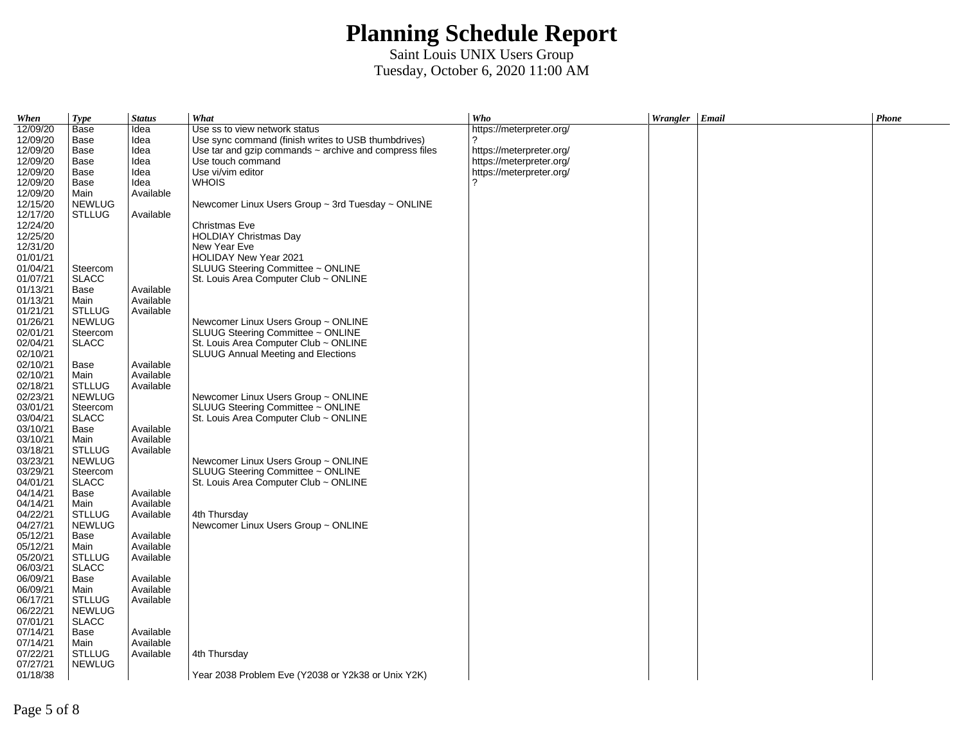| When     | <b>Type</b>   | <b>Status</b> | What                                                        | Who                      | Wrangler Email | Phone |
|----------|---------------|---------------|-------------------------------------------------------------|--------------------------|----------------|-------|
| 12/09/20 | Base          | Idea          | Use ss to view network status                               | https://meterpreter.org/ |                |       |
| 12/09/20 | Base          | Idea          | Use sync command (finish writes to USB thumbdrives)         | 2                        |                |       |
| 12/09/20 | Base          | Idea          | Use tar and gzip commands $\sim$ archive and compress files | https://meterpreter.org/ |                |       |
| 12/09/20 | Base          | Idea          | Use touch command                                           | https://meterpreter.org/ |                |       |
| 12/09/20 | Base          | Idea          | Use vi/vim editor                                           | https://meterpreter.org/ |                |       |
| 12/09/20 | Base          | Idea          | WHOIS                                                       | 2                        |                |       |
| 12/09/20 | Main          | Available     |                                                             |                          |                |       |
| 12/15/20 | <b>NEWLUG</b> |               | Newcomer Linux Users Group $\sim$ 3rd Tuesday $\sim$ ONLINE |                          |                |       |
| 12/17/20 | <b>STLLUG</b> | Available     |                                                             |                          |                |       |
| 12/24/20 |               |               | Christmas Eve                                               |                          |                |       |
| 12/25/20 |               |               | <b>HOLDIAY Christmas Day</b>                                |                          |                |       |
| 12/31/20 |               |               | New Year Eve                                                |                          |                |       |
| 01/01/21 |               |               | HOLIDAY New Year 2021                                       |                          |                |       |
| 01/04/21 | Steercom      |               | SLUUG Steering Committee ~ ONLINE                           |                          |                |       |
| 01/07/21 | <b>SLACC</b>  |               | St. Louis Area Computer Club ~ ONLINE                       |                          |                |       |
| 01/13/21 | Base          | Available     |                                                             |                          |                |       |
| 01/13/21 | Main          | Available     |                                                             |                          |                |       |
|          |               |               |                                                             |                          |                |       |
| 01/21/21 | <b>STLLUG</b> | Available     |                                                             |                          |                |       |
| 01/26/21 | <b>NEWLUG</b> |               | Newcomer Linux Users Group ~ ONLINE                         |                          |                |       |
| 02/01/21 | Steercom      |               | SLUUG Steering Committee ~ ONLINE                           |                          |                |       |
| 02/04/21 | <b>SLACC</b>  |               | St. Louis Area Computer Club ~ ONLINE                       |                          |                |       |
| 02/10/21 |               |               | <b>SLUUG Annual Meeting and Elections</b>                   |                          |                |       |
| 02/10/21 | Base          | Available     |                                                             |                          |                |       |
| 02/10/21 | Main          | Available     |                                                             |                          |                |       |
| 02/18/21 | <b>STLLUG</b> | Available     |                                                             |                          |                |       |
| 02/23/21 | <b>NEWLUG</b> |               | Newcomer Linux Users Group ~ ONLINE                         |                          |                |       |
| 03/01/21 | Steercom      |               | SLUUG Steering Committee ~ ONLINE                           |                          |                |       |
| 03/04/21 | <b>SLACC</b>  |               | St. Louis Area Computer Club ~ ONLINE                       |                          |                |       |
| 03/10/21 | Base          | Available     |                                                             |                          |                |       |
| 03/10/21 | Main          | Available     |                                                             |                          |                |       |
| 03/18/21 | <b>STLLUG</b> | Available     |                                                             |                          |                |       |
| 03/23/21 | <b>NEWLUG</b> |               | Newcomer Linux Users Group ~ ONLINE                         |                          |                |       |
| 03/29/21 | Steercom      |               | SLUUG Steering Committee ~ ONLINE                           |                          |                |       |
| 04/01/21 | <b>SLACC</b>  |               | St. Louis Area Computer Club ~ ONLINE                       |                          |                |       |
| 04/14/21 | Base          | Available     |                                                             |                          |                |       |
| 04/14/21 | Main          | Available     |                                                             |                          |                |       |
| 04/22/21 | <b>STLLUG</b> | Available     | 4th Thursday                                                |                          |                |       |
| 04/27/21 | <b>NEWLUG</b> |               | Newcomer Linux Users Group ~ ONLINE                         |                          |                |       |
| 05/12/21 | Base          | Available     |                                                             |                          |                |       |
| 05/12/21 | Main          | Available     |                                                             |                          |                |       |
| 05/20/21 | <b>STLLUG</b> | Available     |                                                             |                          |                |       |
| 06/03/21 | <b>SLACC</b>  |               |                                                             |                          |                |       |
| 06/09/21 | Base          | Available     |                                                             |                          |                |       |
| 06/09/21 | Main          | Available     |                                                             |                          |                |       |
| 06/17/21 | <b>STLLUG</b> | Available     |                                                             |                          |                |       |
| 06/22/21 | <b>NEWLUG</b> |               |                                                             |                          |                |       |
| 07/01/21 | <b>SLACC</b>  |               |                                                             |                          |                |       |
| 07/14/21 | Base          | Available     |                                                             |                          |                |       |
| 07/14/21 | Main          | Available     |                                                             |                          |                |       |
| 07/22/21 | <b>STLLUG</b> | Available     | 4th Thursday                                                |                          |                |       |
| 07/27/21 | <b>NEWLUG</b> |               |                                                             |                          |                |       |
| 01/18/38 |               |               | Year 2038 Problem Eve (Y2038 or Y2k38 or Unix Y2K)          |                          |                |       |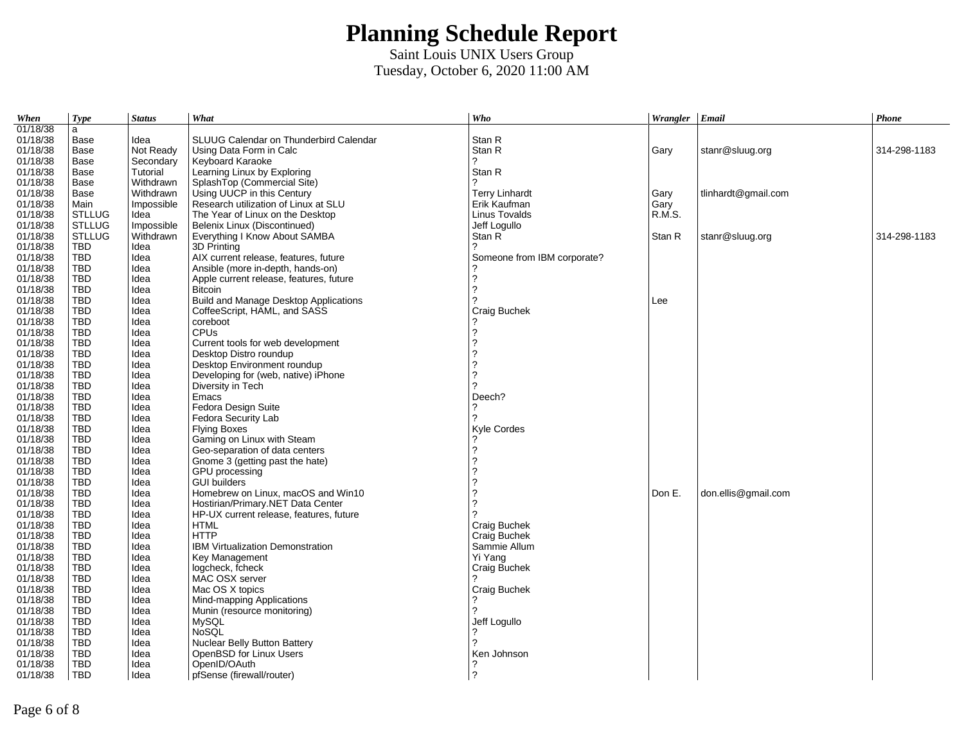| When     | <b>Type</b>   | <b>Status</b> | What                                    | Who                         | Wrangler $ $ Email |                     | Phone        |
|----------|---------------|---------------|-----------------------------------------|-----------------------------|--------------------|---------------------|--------------|
| 01/18/38 | a             |               |                                         |                             |                    |                     |              |
| 01/18/38 | Base          | Idea          | SLUUG Calendar on Thunderbird Calendar  | Stan R                      |                    |                     |              |
| 01/18/38 | Base          | Not Ready     | Using Data Form in Calc                 | Stan R                      | Gary               | stanr@sluug.org     | 314-298-1183 |
| 01/18/38 | Base          | Secondary     | Keyboard Karaoke                        | ?                           |                    |                     |              |
| 01/18/38 | Base          | Tutorial      | Learning Linux by Exploring             | Stan R                      |                    |                     |              |
| 01/18/38 | Base          | Withdrawn     | SplashTop (Commercial Site)             | っ                           |                    |                     |              |
| 01/18/38 | Base          | Withdrawn     | Using UUCP in this Century              | <b>Terry Linhardt</b>       | Gary               | tlinhardt@gmail.com |              |
| 01/18/38 | Main          | Impossible    | Research utilization of Linux at SLU    | Erik Kaufman                | Gary               |                     |              |
| 01/18/38 | <b>STLLUG</b> | Idea          | The Year of Linux on the Desktop        | Linus Tovalds               | R.M.S.             |                     |              |
| 01/18/38 | <b>STLLUG</b> | Impossible    | Belenix Linux (Discontinued)            | Jeff Logullo                |                    |                     |              |
| 01/18/38 | <b>STLLUG</b> | Withdrawn     | Everything I Know About SAMBA           | Stan R                      | Stan R             | stanr@sluug.org     | 314-298-1183 |
| 01/18/38 | <b>TBD</b>    | Idea          | 3D Printing                             |                             |                    |                     |              |
| 01/18/38 | TBD           | Idea          | AIX current release, features, future   | Someone from IBM corporate? |                    |                     |              |
| 01/18/38 | <b>TBD</b>    | Idea          | Ansible (more in-depth, hands-on)       |                             |                    |                     |              |
| 01/18/38 | <b>TBD</b>    | Idea          | Apple current release, features, future | $\overline{\phantom{a}}$    |                    |                     |              |
| 01/18/38 | <b>TBD</b>    | Idea          | <b>Bitcoin</b>                          | $\overline{?}$              |                    |                     |              |
| 01/18/38 | <b>TBD</b>    | Idea          | Build and Manage Desktop Applications   | 2                           | Lee                |                     |              |
| 01/18/38 | TBD           | Idea          | CoffeeScript, HAML, and SASS            | Craig Buchek                |                    |                     |              |
| 01/18/38 | TBD           | Idea          | coreboot                                |                             |                    |                     |              |
| 01/18/38 | TBD           | Idea          | <b>CPUs</b>                             | $\overline{\phantom{a}}$    |                    |                     |              |
| 01/18/38 | TBD           | Idea          | Current tools for web development       | $\overline{\phantom{a}}$    |                    |                     |              |
| 01/18/38 | TBD           | Idea          | Desktop Distro roundup                  | $\overline{\phantom{a}}$    |                    |                     |              |
| 01/18/38 | TBD           | Idea          | Desktop Environment roundup             | ?                           |                    |                     |              |
| 01/18/38 | <b>TBD</b>    | Idea          | Developing for (web, native) iPhone     | $\overline{\phantom{a}}$    |                    |                     |              |
| 01/18/38 | TBD           | Idea          | Diversity in Tech                       | 2                           |                    |                     |              |
| 01/18/38 | TBD           | Idea          | Emacs                                   | Deech?                      |                    |                     |              |
| 01/18/38 | TBD           | Idea          | Fedora Design Suite                     |                             |                    |                     |              |
| 01/18/38 | TBD           | Idea          | Fedora Security Lab                     | 2                           |                    |                     |              |
| 01/18/38 | <b>TBD</b>    | Idea          | <b>Flying Boxes</b>                     | Kyle Cordes                 |                    |                     |              |
| 01/18/38 | TBD           | Idea          | Gaming on Linux with Steam              |                             |                    |                     |              |
| 01/18/38 | <b>TBD</b>    | Idea          | Geo-separation of data centers          | $\overline{\phantom{a}}$    |                    |                     |              |
| 01/18/38 | <b>TBD</b>    | Idea          | Gnome 3 (getting past the hate)         | 2                           |                    |                     |              |
| 01/18/38 | TBD.          | Idea          | GPU processing                          | $\overline{\phantom{a}}$    |                    |                     |              |
| 01/18/38 | <b>TBD</b>    | Idea          | <b>GUI builders</b>                     | $\overline{\phantom{a}}$    |                    |                     |              |
| 01/18/38 | <b>TBD</b>    | Idea          | Homebrew on Linux, macOS and Win10      | ?                           | Don E.             | don.ellis@gmail.com |              |
| 01/18/38 | <b>TBD</b>    | Idea          | Hostirian/Primary.NET Data Center       | $\overline{?}$              |                    |                     |              |
| 01/18/38 | <b>TBD</b>    | Idea          | HP-UX current release, features, future | 2                           |                    |                     |              |
| 01/18/38 | <b>TBD</b>    | Idea          | <b>HTML</b>                             | Craig Buchek                |                    |                     |              |
| 01/18/38 | <b>TBD</b>    | Idea          | <b>HTTP</b>                             | Craig Buchek                |                    |                     |              |
| 01/18/38 | TBD           | Idea          | <b>IBM Virtualization Demonstration</b> | Sammie Allum                |                    |                     |              |
| 01/18/38 | TBD           | Idea          | Key Management                          | Yi Yang                     |                    |                     |              |
| 01/18/38 | TBD           | Idea          | logcheck, fcheck                        | Craig Buchek                |                    |                     |              |
| 01/18/38 | TBD           | Idea          | MAC OSX server                          |                             |                    |                     |              |
| 01/18/38 | <b>TBD</b>    | Idea          | Mac OS X topics                         | Craig Buchek                |                    |                     |              |
| 01/18/38 | TBD           | Idea          | Mind-mapping Applications               | ?                           |                    |                     |              |
| 01/18/38 | <b>TBD</b>    | Idea          | Munin (resource monitoring)             |                             |                    |                     |              |
| 01/18/38 | TBD           | Idea          | MySQL                                   | Jeff Logullo                |                    |                     |              |
| 01/18/38 | TBD           | Idea          | <b>NoSOL</b>                            | 2                           |                    |                     |              |
| 01/18/38 | <b>TBD</b>    | Idea          | Nuclear Belly Button Battery            |                             |                    |                     |              |
| 01/18/38 | <b>TBD</b>    | Idea          | OpenBSD for Linux Users                 | Ken Johnson                 |                    |                     |              |
| 01/18/38 | <b>TBD</b>    | Idea          | OpenID/OAuth                            | ?                           |                    |                     |              |
| 01/18/38 | <b>TBD</b>    | Idea          | pfSense (firewall/router)               | $\overline{?}$              |                    |                     |              |